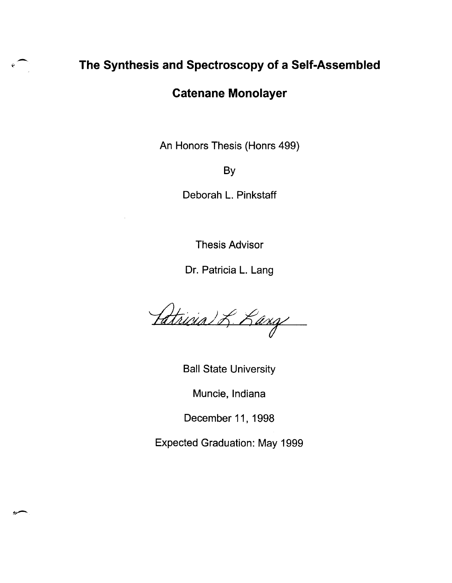#### **The Synthesis and Spectroscopy of a Self-Assembled**

#### **Catenane Monolayer**

An Honors Thesis (Honrs 499)

By

Deborah L. Pinkstaff

Thesis Advisor

Dr. Patricia L. Lang

Patricia) L. Lang

Ball State University

Muncie, Indiana

December 11, 1998

Expected Graduation: May 1999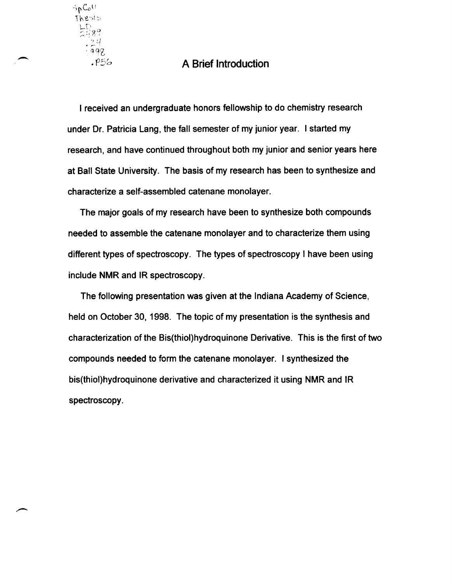# $\begin{array}{ccc} \cdot & \frac{24}{198} \\ \cdot & \frac{198}{198} \end{array}$  A Brief Introduction

SpColl<br>Thesis

I received an undergraduate honors fellowship to do chemistry research under Dr. Patricia Lang, the fall semester of my junior year. I started my research, and have continued throughout both my junior and senior years here at Ball State University. The basis of my research has been to synthesize and characterize a self-assembled catenane monolayer.

The major goals of my research have been to synthesize both compounds needed to assemble the catenane monolayer and to characterize them using different types of spectroscopy. The types of spectroscopy I have been using include NMR and IR spectroscopy.

The following presentation was given at the Indiana Academy of Science, held on October 30, 1998. The topic of my presentation is the synthesis and characterization of the Bis(thiol)hydroquinone Derivative. This is the first of two compounds needed to form the catenane monolayer. I synthesized the bis(thiol)hydroquinone derivative and characterized it using NMR and IR spectroscopy.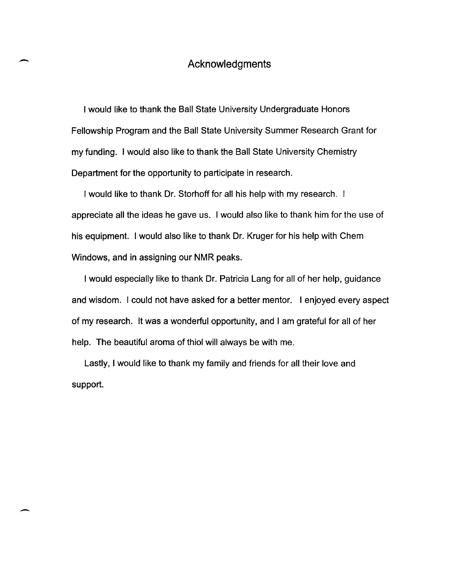#### Acknowledgments

-

-

I would like to thank the Ball State University Undergraduate Honors Fellowship Program and the Ball State University Summer Research Grant for my funding. I would also like to thank the Ball State University Chemistry Department for the opportunity to participate in research.

I would like to thank Dr. Storhoff for all his help with my research. I appreciate all the ideas he gave us. I would also like to thank him for the use of his equipment. I would also like to thank Dr. Kruger for his help with Chem Windows, and in assigning our NMR peaks.

I would especially like to thank Dr. Patricia Lang for all of her help, guidance and wisdom. I could not have asked for a better mentor. I enjoyed every aspect of my research. It was a wonderful opportunity, and I am grateful for all of her help. The beautiful aroma of thiol will always be with me.

Lastly, I would like to thank my family and friends for all their love and support.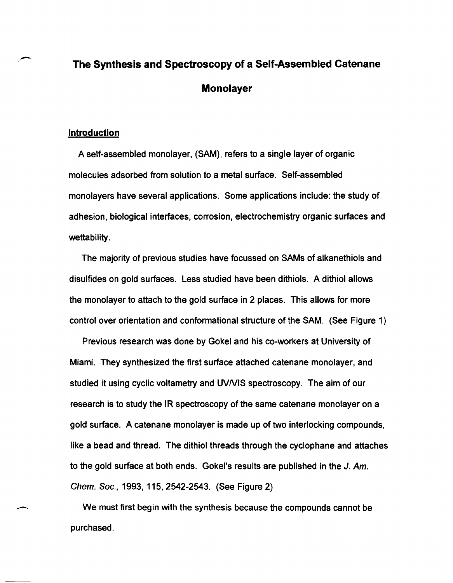### **The Synthesis and Spectroscopy of a Self-Assembled Catenane Monolayer**

#### **Introduction**

--

A self-assembled monolayer, (SAM), refers to a single layer of organic molecules adsorbed from solution to a metal surface. Self-assembled monolayers have several applications. Some applications include: the study of adhesion, biological interfaces, corrosion, electrochemistry organic surfaces and wettability.

The majority of previous studies have focussed on SAMs of alkanethiols and disulfides on gold surfaces. Less studied have been dithiols. A dithiol allows the monolayer to attach to the gold surface in 2 places. This allows for more control over orientation and conformational structure of the SAM. (See Figure 1)

Previous research was done by Gokel and his co-workers at University of Miami. They synthesized the first surface attached catenane monolayer, and studied it using cyclic voltametry and UVNIS spectroscopy. The aim of our research is to study the IR spectroscopy of the same catenane monolayer on a gold surface. A catenane monolayer is made up of two interlocking compounds, like a bead and thread. The dithiol threads through the cyclophane and attaches to the gold surface at both ends. Gokel's results are published in the J. Am. Chern. Soc., 1993, 115,2542-2543. (See Figure 2)

We must first begin with the synthesis because the compounds cannot be purchased.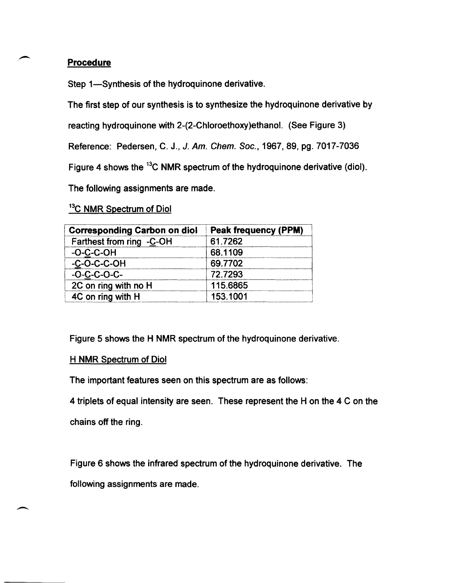#### Procedure

Step 1-Synthesis of the hydroquinone derivative.

The first step of our synthesis is to synthesize the hydroquinone derivative by

reacting hydroquinone with 2-(2-Chloroethoxy)ethanol. (See Figure 3)

Reference: Pedersen, C. J., J. Am. Chern. Soc., 1967,89, pg. 7017-7036

Figure 4 shows the <sup>13</sup>C NMR spectrum of the hydroquinone derivative (diol).

The following assignments are made.

#### <sup>13</sup>C NMR Spectrum of Diol

| <b>Corresponding Carbon on diol</b> | <b>Peak frequency (PPM)</b> |
|-------------------------------------|-----------------------------|
| Farthest from ring -C-OH            | 61.7262                     |
| $-O-C-C-OH$                         | 68.1109                     |
| $-C$ -O-C-C-OH                      | 69.7702                     |
| $-O-C-C-C-C$                        | 72.7293                     |
| 2C on ring with no H                | 115.6865                    |
| 4C on ring with H                   | 153.1001                    |

Figure 5 shows the H NMR spectrum of the hydroquinone derivative.

#### H NMR Spectrum of Diol

The important features seen on this spectrum are as follows:

4 triplets of equal intensity are seen. These represent the H on the 4 C on the chains off the ring.

Figure 6 shows the infrared spectrum of the hydroquinone derivative. The following assignments are made.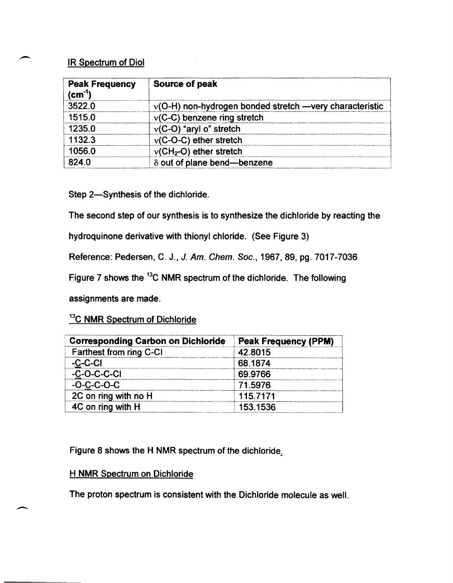#### IR Spectrum of Diol

 $\overline{\phantom{a}}$ 

-.

| <b>Peak Frequency</b><br>$\text{(cm}^{\text{-}1}\text{)}$ | Source of peak                                            |  |
|-----------------------------------------------------------|-----------------------------------------------------------|--|
| 3522.0                                                    | $v(O-H)$ non-hydrogen bonded stretch —very characteristic |  |
| 1515.0                                                    | $v(C-C)$ benzene ring stretch                             |  |
| 1235.0                                                    | $v(C-O)$ "aryl o" stretch                                 |  |
| 1132.3                                                    | $v(C-C-C)$ ether stretch                                  |  |
| 1056.0                                                    | $v(CH2-O)$ ether stretch                                  |  |
| 824.0                                                     | $\delta$ out of plane bend--benzene                       |  |

Step 2-Synthesis of the dichloride.

The second step of our synthesis is to synthesize the dichloride by reacting the

hydroquinone derivative with thionyl chloride. (See Figure 3)

Reference: Pedersen, C. J., J. Am. Chern. Soc., 1967,89, pg. 7017-7036

Figure 7 shows the 13C NMR spectrum of the dichloride. The following

assignments are made.

#### <sup>13</sup>C NMR Spectrum of Dichloride

| <b>Corresponding Carbon on Dichloride</b> | <b>Peak Frequency (PPM)</b> |
|-------------------------------------------|-----------------------------|
| Farthest from ring C-CI                   | 42.8015                     |
| $-C-C-CI$                                 | 68.1874                     |
| $-C$ -O-C-C-CI                            | 69.9766                     |
| $-O-C-C-C-C$                              | 71.5976                     |
| 2C on ring with no H                      | 115.7171                    |
| 4C on ring with H                         | 153.1536                    |

Figure 8 shows the H NMR spectrum of the dichloride.

#### H NMR Spectrum on Dichloride

The proton spectrum is consistent with the Dichloride molecule as well.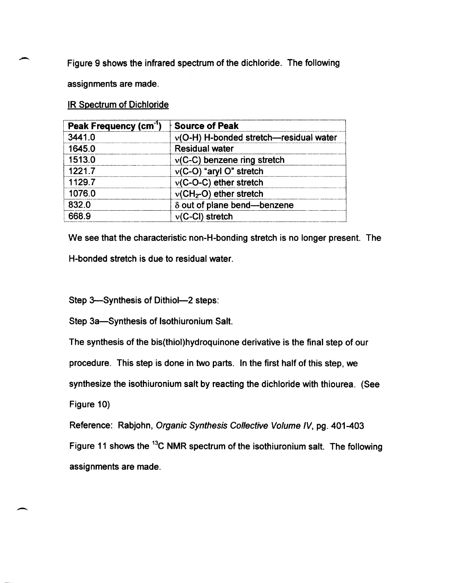Figure 9 shows the infrared spectrum of the dichloride. The following

assignments are made.

-

**IR Spectrum of Dichloride** 

| Peak Frequency (cm <sup>-1</sup> ) | <b>Source of Peak</b>                    |
|------------------------------------|------------------------------------------|
| 3441.0                             | $v(O-H)$ H-bonded stretch-residual water |
| 1645.0                             | <b>Residual water</b>                    |
| 1513.0                             | $v(C-C)$ benzene ring stretch            |
| 1221.7                             | $v(C-O)$ "aryl O" stretch                |
| 1129.7                             | $v(C-C-C)$ ether stretch                 |
| 1076.0                             | $v(CH2-O)$ ether stretch                 |
| 832.0                              | δ out of plane bend-benzene              |
| 668.9                              | $v(C-CI)$ stretch                        |

We see that the characteristic non-H-bonding stretch is no longer present. The H-bonded stretch is due to residual water.

Step 3-Synthesis of Dithiol-2 steps:

Step 3a-Synthesis of Isothiuronium Salt.

The synthesis of the bis(thiol)hydroquinone derivative is the final step of our

procedure. This step is done in two parts. In the first half of this step, we

synthesize the isothiuronium salt by reacting the dichloride with thiourea. (See

Figure 10)

. -

Reference: Rabjohn, Organic Synthesis Collective Volume IV, pg. 401-403

Figure 11 shows the <sup>13</sup>C NMR spectrum of the isothiuronium salt. The following assignments are made .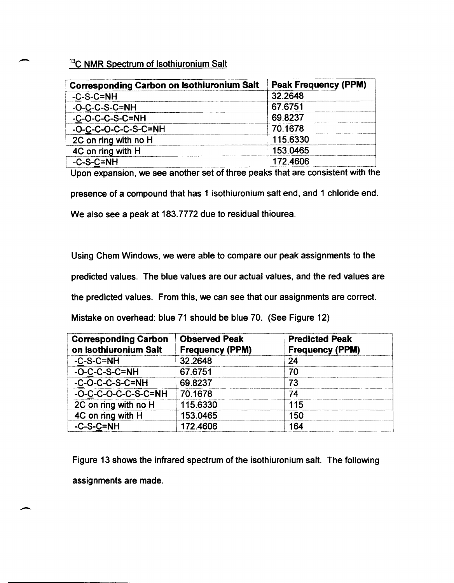#### 13C **NMR** Spectrum of Isothiuronium Salt

| <b>Corresponding Carbon on Isothiuronium Salt</b> | <b>Peak Frequency (PPM)</b> |
|---------------------------------------------------|-----------------------------|
| $-C-S-C=NH$                                       | 32.2648                     |
| $-C-C-S-C=NH$                                     | 67.6751                     |
| $-C-C-C-C-S-C=NH$                                 | 69.8237                     |
| -O-C-C-O-C-C-S-C=NH                               | 70.1678                     |
| 2C on ring with no H                              | 115.6330                    |
| 4C on ring with H                                 | 153.0465                    |
| $-C-S-C=NH$                                       | 172.4606                    |

Upon expansion, we see another set of three peaks that are consistent with the

presence of a compound that has 1 isothiuronium salt end, and 1 chloride end.

We also see a peak at 183.7772 due to residual thiourea.

Using Chem Windows, we were able to compare our peak assignments to the

predicted values. The blue values are our actual values, and the red values are

the predicted values. From this, we can see that our assignments are correct.

Mistake on overhead: blue 71 should be blue 70. (See Figure 12)

| <b>Corresponding Carbon</b><br>on Isothiuronium Salt | <b>Observed Peak</b><br><b>Frequency (PPM)</b> | <b>Predicted Peak</b><br><b>Frequency (PPM)</b> |
|------------------------------------------------------|------------------------------------------------|-------------------------------------------------|
| $-C-S-C=NH$                                          | 32.2648                                        | 24                                              |
| $-O-C-C-S-C=NH$                                      | 67.6751                                        | 70                                              |
| $-C-C-C-C-S-C=NH$                                    | 69.8237                                        | 73                                              |
| -O-C-C-O-C-C-S-C=NH                                  | 70.1678                                        | 74                                              |
| 2C on ring with no H                                 | 115.6330                                       | 115                                             |
| 4C on ring with H                                    | 153.0465                                       | 150                                             |
| $-C-S-C=NH$                                          | 172.4606                                       | 164                                             |

Figure 13 shows the infrared spectrum of the isothiuronium salt. The following assignments are made.

--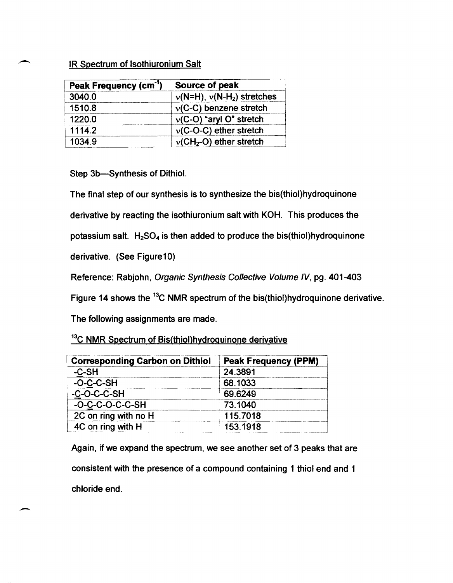#### IR Spectrum of Isothiuronium Salt

| Peak Frequency (cm <sup>-1</sup> ) | Source of peak                 |
|------------------------------------|--------------------------------|
| 3040.0                             | $v(N=H)$ , $v(N-H2)$ stretches |
| 1510.8                             | $v(C-C)$ benzene stretch       |
| 1220.0                             | $v(C-O)$ "aryl O" stretch      |
| 1114.2                             | $v(C-O-C)$ ether stretch       |
| 1034.9                             | $v(CH2-O)$ ether stretch       |

Step 3b-Synthesis of Dithiol.

The final step of our synthesis is to synthesize the bis(thiol)hydroquinone

derivative by reacting the isothiuronium salt with KOH. This produces the

potassium salt.  $H_2SO_4$  is then added to produce the bis(thiol)hydroquinone

derivative. (See Figure10)

--

Reference: Rabjohn, Organic Synthesis Collective Volume IV, pg. 401-403

Figure 14 shows the <sup>13</sup>C NMR spectrum of the bis(thiol)hydroquinone derivative.

The following assignments are made.

<sup>13</sup>C NMR Spectrum of Bis(thiol)hydroquinone derivative

| <b>Corresponding Carbon on Dithiol</b> | <b>Peak Frequency (PPM)</b> |
|----------------------------------------|-----------------------------|
| $-C-SH$                                | 24.3891                     |
| $-C-C-SH$                              | 68.1033                     |
| $-C-C-C-SH$                            | 69.6249                     |
| $-C-C-C-C-C-SH$                        | 73 1040                     |
| 2C on ring with no H                   | 115,7018                    |
| 4C on ring with H                      | 153.1918                    |

Again, if we expand the spectrum, we see another set of 3 peaks that are consistent with the presence of a compound containing 1 thiol end and 1 chloride end.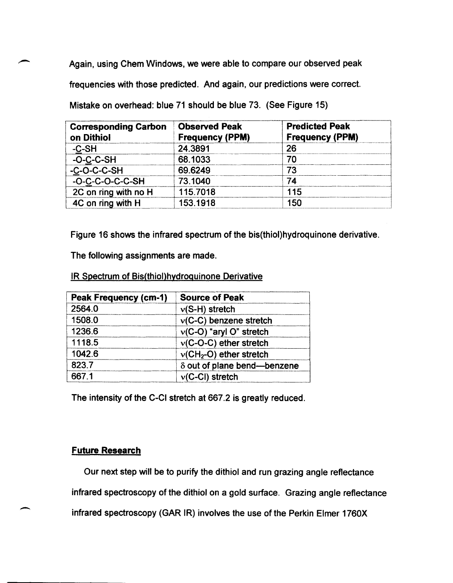Again, using Chern Windows, we were able to compare our observed peak frequencies with those predicted. And again, our predictions were correct. Mistake on overhead: blue 71 should be blue 73. (See Figure 15)

| <b>Corresponding Carbon</b><br>on Dithiol | <b>Observed Peak</b><br><b>Frequency (PPM)</b> | <b>Predicted Peak</b><br><b>Frequency (PPM)</b> |
|-------------------------------------------|------------------------------------------------|-------------------------------------------------|
| $-C-SH$                                   | 24.3891                                        | 26                                              |
| $-C-C-SH$                                 | 68.1033                                        | 70                                              |
| $-C-C-C-C-SH$                             | 69.6249                                        |                                                 |
| $-C-C-C-C-C-SH$                           | 73.1040                                        | 74                                              |
| 2C on ring with no H                      | 115.7018                                       | 115                                             |
| 4C on ring with H                         | 153.1918                                       | 150                                             |

Figure 16 shows the infrared spectrum of the bis(thiol)hydroquinone derivative.

The following assignments are made.

IR Spectrum of Bis(thiol)hvdroguinone Derivative

| <b>Peak Frequency (cm-1)</b> | <b>Source of Peak</b>       |
|------------------------------|-----------------------------|
| 2564.0                       | $v(S-H)$ stretch            |
| 1508.0                       | $v(C-C)$ benzene stretch    |
| 1236.6                       | $v(C-O)$ "aryl O" stretch   |
| 1118.5                       | $v(C-C-C)$ ether stretch    |
| 1042.6                       | $v(CH2-O)$ ether stretch    |
| 823.7                        | δ out of plane bend-benzene |
| 667.1                        | $v(C-CI)$ stretch           |

The intensity of the C-CI stretch at 667.2 is greatly reduced.

#### Future Research

Our next step will be to purify the dithiol and run grazing angle reflectance infrared spectroscopy of the dithiol on a gold surface. Grazing angle reflectance infrared spectroscopy (GAR IR) involves the use of the Perkin Elmer 1760X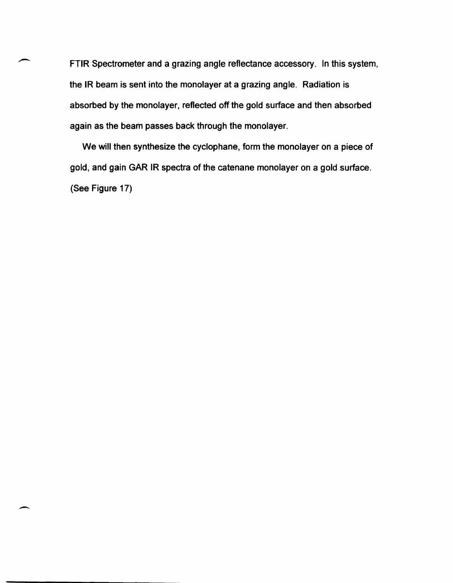FTIR Spectrometer and a grazing angle reflectance accessory. In this system, the IR beam is sent into the monolayer at a grazing angle. Radiation is absorbed by the monolayer, reflected off the gold surface and then absorbed again as the beam passes back through the monolayer.

We will then synthesize the cyclophane, form the monolayer on a piece of gold, and gain GAR IR spectra of the catenane monolayer on a gold surface. (See Figure 17)

-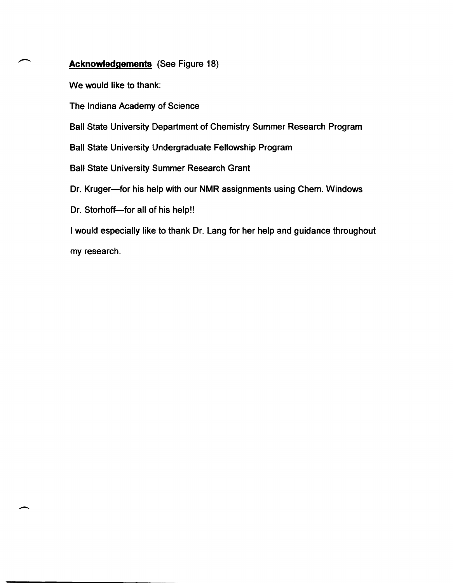#### Acknowledgements (See Figure 18)

We would like to thank:

The Indiana Academy of Science

Ball State University Department of Chemistry Summer Research Program

Ball State University Undergraduate Fellowship Program

Ball State University Summer Research Grant

Dr. Kruger-for his help with our NMR assignments using Chem. Windows

Dr. Storhoff--for all of his help!!

-

I would especially like to thank Dr. Lang for her help and guidance throughout my research.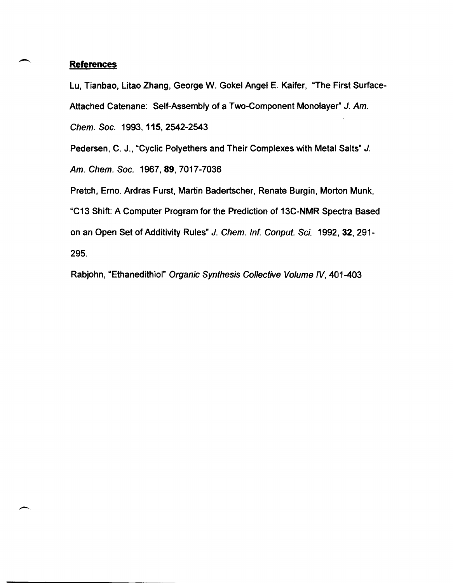#### **References**

-

Lu, Tianbao, Litao Zhang, George W. Gokel Angel E. Kaifer, "The First Surface-Attached Catenane: Self-Assembly of a Two-Component Monolayer" J. Am. Chern. Soc. 1993, 115,2542-2543

Pedersen, C. J., "Cyclic Polyethers and Their Complexes with Metal Salts" J.

Am. Chem. Soc. 1967, 89, 7017-7036

Pretch, Erno. Ardras Furst, Martin Badertscher, Renate Burgin, Morton Munk, "C13 Shift: A Computer Program for the Prediction of 13C-NMR Spectra Based on an Open Set of Additivity Rules" J. Chem. Inf. Conput. Sci. 1992, 32, 291-295.

Rabjohn, "Ethanedithiol" Organic Synthesis Collective Volume IV, 401-403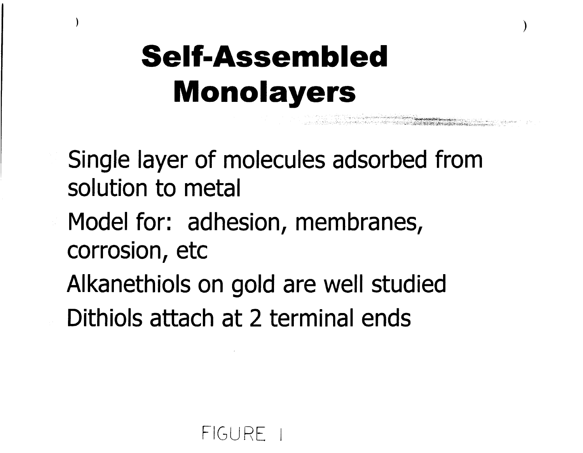## **Self-Assembled Monolayers**

)

t formal and a structure of the control of the collection of the company of the collection of the collection o<br>In the collection of the collection of the collection of the collection of the collection of the collection of

)

- Single layer of molecules adsorbed from **solution to metal**
- **Model for: adhesion, membranes, corrosion, etc**
- Alkanethiols on gold are well studied **Dithiols attach at 2 terminal ends**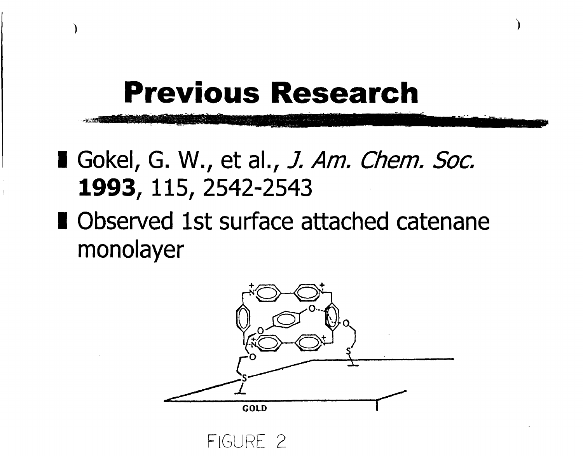### **Previous Research**

)

)

- I Gokel, G. W., et al., J. Am. Chem. Soc. **1993, 115, 2542-2543**
- **I Observed 1st surface attached catenane**  monolayer



FiGURE 2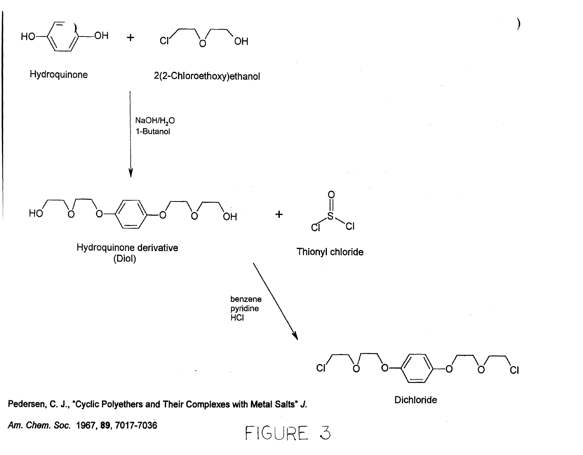

Am. Chem. Soc. 1967, 89, 7017-7036  $FIGURE 3$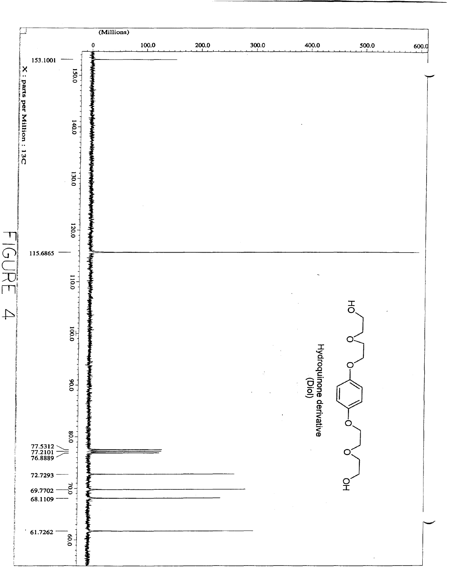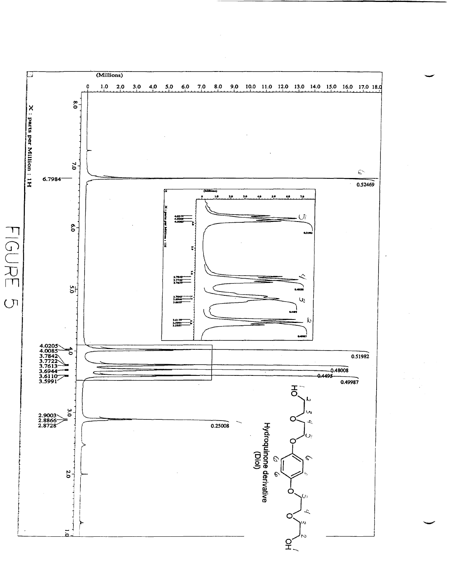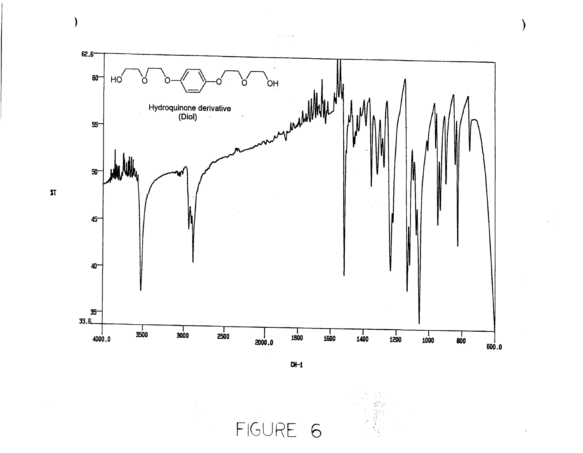

 $CM-1$ 

FIGURE 6

 $\sqrt{2}$ 

 $\big)$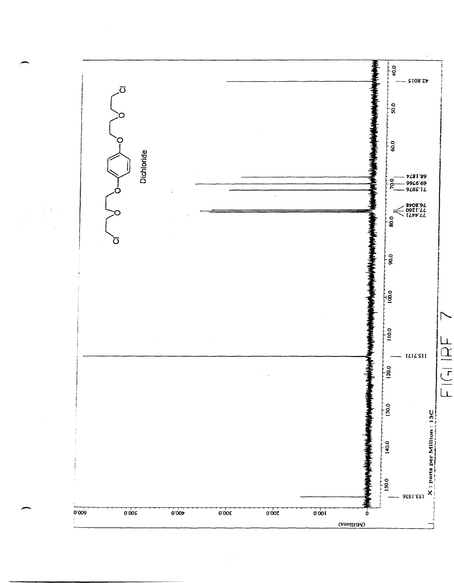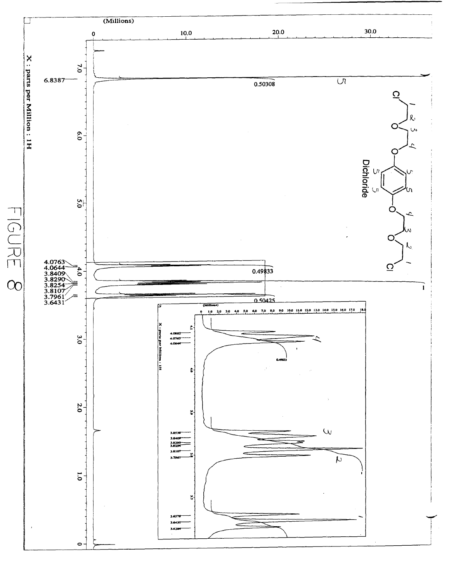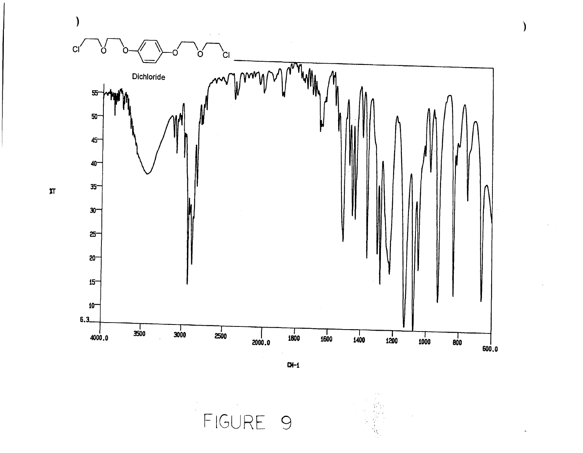

 $\lambda$ 

 $Q\leftarrow 1$ 

FIGURE 9

 $\pi$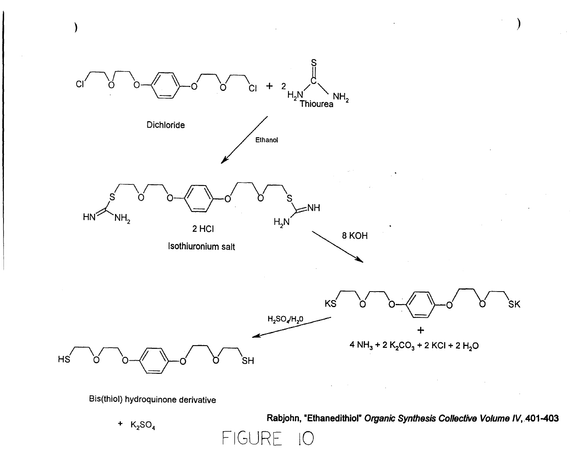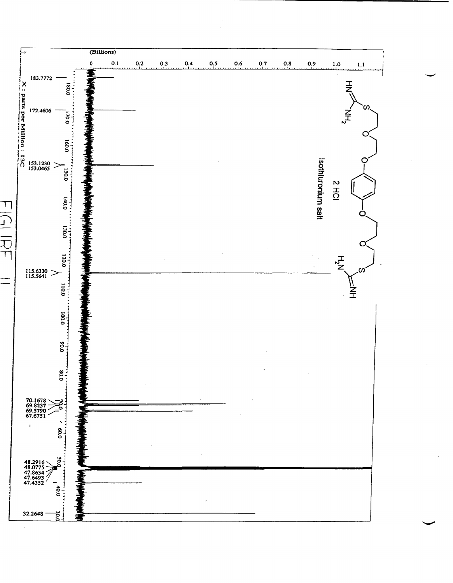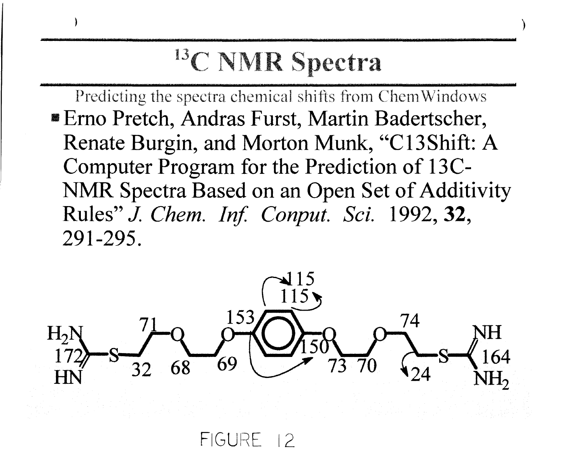### <sup>13</sup>C NMR Spectra

Predicting the spectra chemical shifts from ChemWindows **Erno Pretch, Andras Furst, Martin Badertscher,** Renate Burgin, and Morton Munk, "C13Shift: A Computer Program for the Prediction of 13C-NMR Spectra Based on an Open Set of Additivity Rules" J. Chem. Inf. Conput. Sci. 1992, 32, 291-295.



FIGURE 12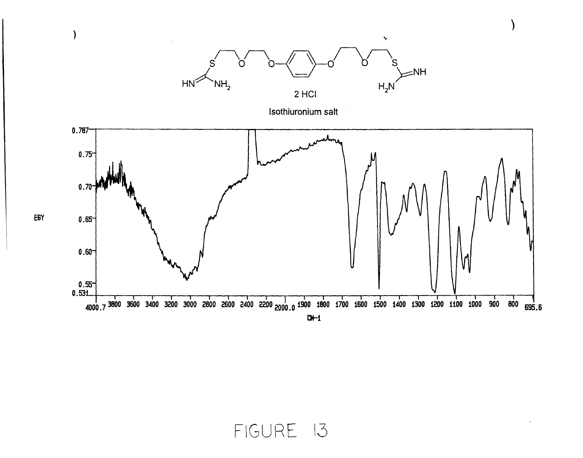

 $\sim$ 

FIGURE 13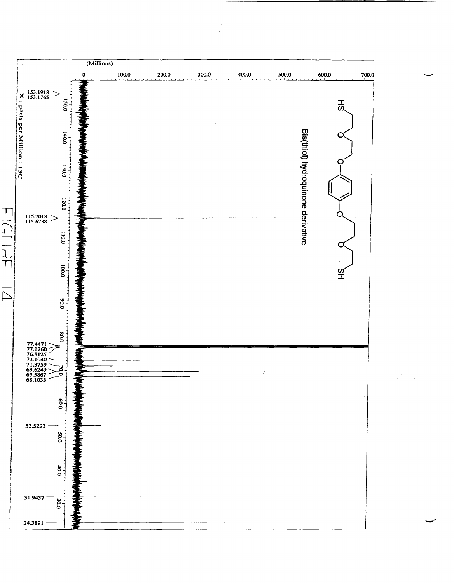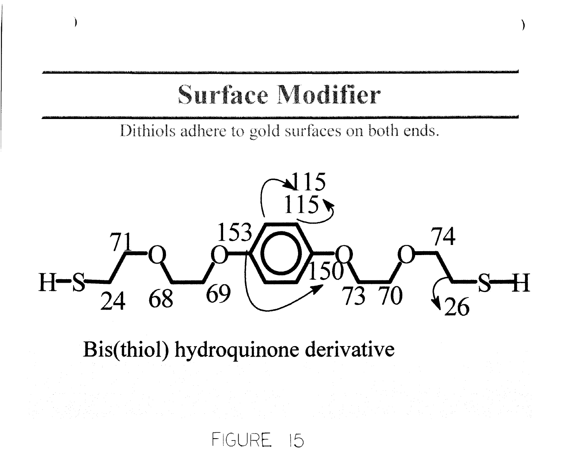### Surface Modifier

Dithiols adhere to gold surfaces on both ends.



Bis(thiol) hydroquinone derivative

FIGURE 15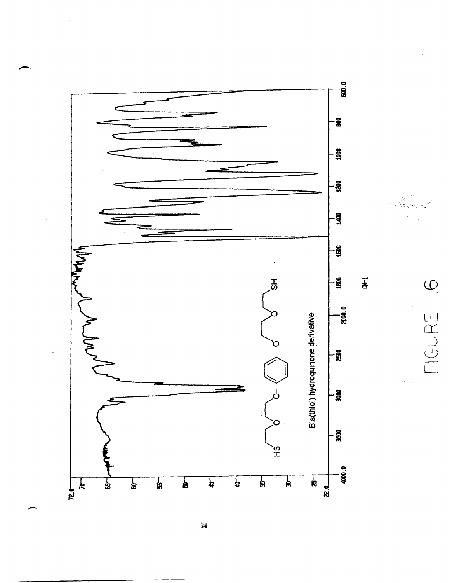

FIGURE I6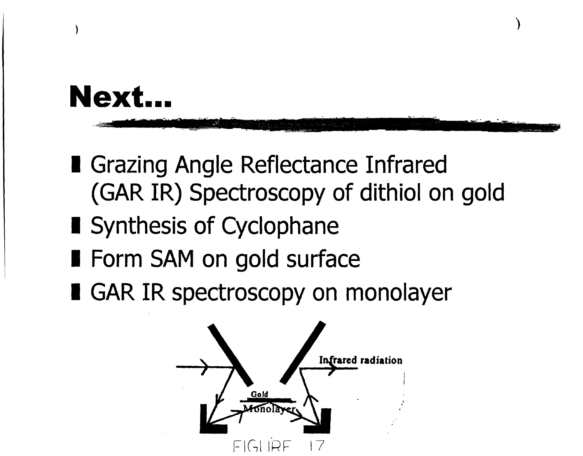### Next.

- **I** Grazing Angle Reflectance Infrared (GAR IR) Spectroscopy of dithiol on gold
- Synthesis of Cyclophane
- Form SAM on gold surface
- GAR IR spectroscopy on monolayer

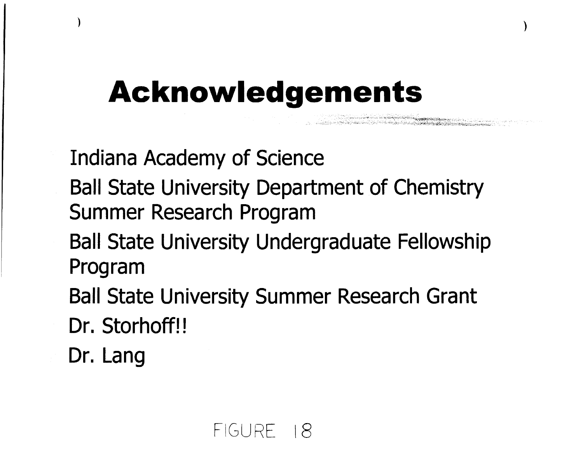### **Acknowledgements**

**Indiana Academy of Science** 

**Ball State University Department of Chemistry** Summer Research Program

n de de la companya de la companya de la companya de la companya de la companya de la companya de la companya

- **Ball State University Undergraduate Fellowship** Program
- **Ball State University Summer Research Grant**
- Dr. Storhoff!!
- Dr. Lang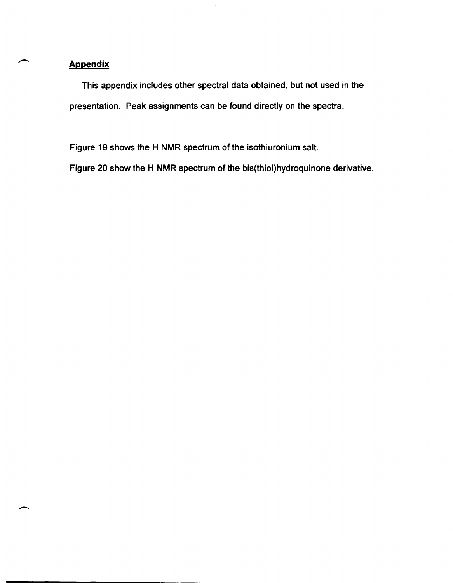#### **Appendix**

--

-

This appendix includes other spectral data obtained, but not used in the presentation. Peak assignments can be found directly on the spectra.

Figure 19 shows the H NMR spectrum of the isothiuronium salt.

Figure 20 show the H NMR spectrum of the bis(thiol)hydroquinone derivative.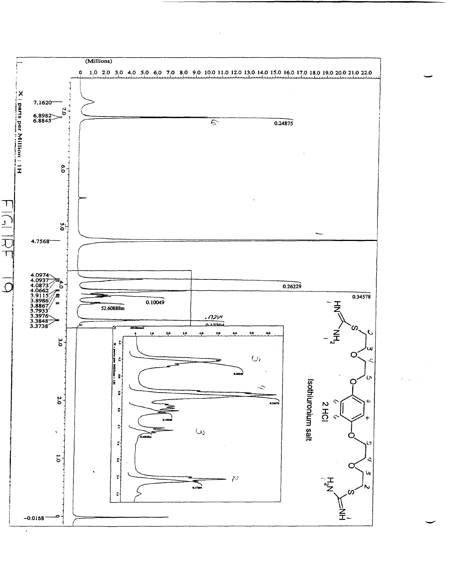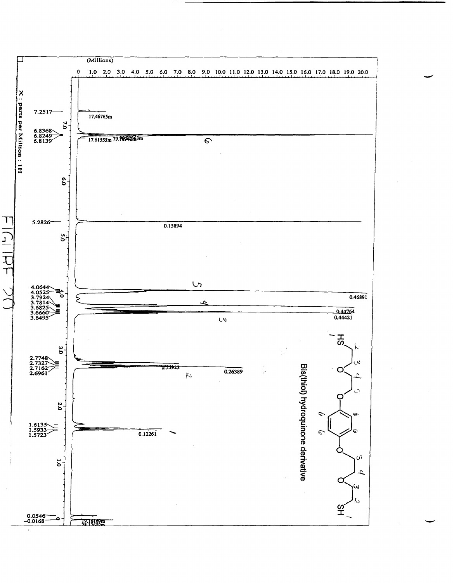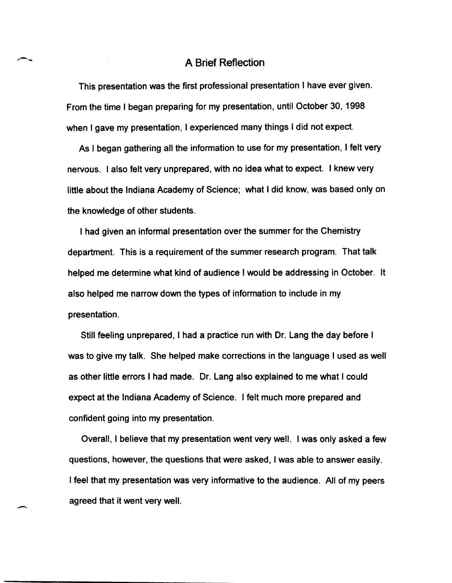#### A Brief Reflection

This presentation was the first professional presentation I have ever given. From the time I began preparing for my presentation, until October 30, 1998 when I gave my presentation, I experienced many things I did not expect.

As I began gathering all the information to use for my presentation, I felt very nervous. I also felt very unprepared, with no idea what to expect. I knew very little about the Indiana Academy of Science; what I did know, was based only on the knowledge of other students.

I had given an informal presentation over the summer for the Chemistry department. This is a requirement of the summer research program. That talk helped me determine what kind of audience I would be addressing in October. It also helped me narrow down the types of information to include in my presentation.

Still feeling unprepared, I had a practice run with Dr. Lang the day before I was to give my talk. She helped make corrections in the language I used as well as other little errors I had made. Dr. Lang also explained to me what I could expect at the Indiana Academy of Science. I felt much more prepared and confident going into my presentation.

Overall, I believe that my presentation went very well. I was only asked a few questions, however, the questions that were asked, I was able to answer easily. I feel that my presentation was very informative to the audience. All of my peers agreed that it went very well.

-